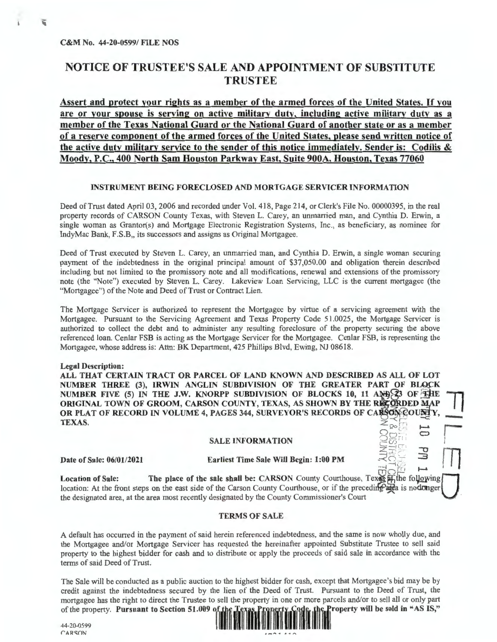## **NOTICE OF TRUSTEE'S SALE AND APPOINTMENT OF SUBSTITUTE TRUSTEE**

**Assert and protect your rights as a member of the armed forces of the United States.** If **you are or your spouse is serving on active military duty, including active military duty as a member of the Texas National Guard or the National Guard of another state or as a member of a reserve component of the armed forces of the United States, please send written notice of the active duty military service to the sender of this notice immediately. Sender is: Codilis** & **Moody, P.C., 400 North Sam Houston Parkway East, Suite 900A, Houston, Texas 77060** 

### **INSTRUMENT BEING FORECLOSED AND MORTGAGE SERVICER INFORMATION**

Deed of Trust dated April 03, 2006 and recorded under Vol. 418, Page 214, or Clerk's File No. 00000395, in the real property records of CARSON County Texas, with Steven L. Carey, an unmarried man, and Cynthia D. Erwin, a single woman as Grantor(s) and Mortgage Electronic Registration Systems, Inc., as beneficiary, as nominee for IndyMac Bank, F.S.B,, its successors and assigns as Original Mortgagee.

Deed of Trust executed by Steven L. Carey, an unmarried man, and Cynthia D. Erwin, a single woman securing payment of the indebtedness in the original principal amount of \$37,050.00 and obligation therein described including but not limited to the promissory note and all modifications, renewal and extensions of the promissory note (the "Note") executed by Steven L. Carey. Lakeview Loan Servicing, LLC is the current mortgagee (the "Mortgagee") of the Note and Deed of Trust or Contract Lien.

The Mortgage Servicer is authorized to represent the Mortgagee by virtue of a servicing agreement with the Mortgagee. Pursuant to the Servicing Agreement and Texas Property Code 51.0025, the Mortgage Servicer is authorized to collect the debt and to administer any resulting foreclosure of the property securing the above referenced loan. Cenlar FSB is acting as the Mortgage Servicer for the Mortgagee. Cenlar FSB, is representing the Mortgagee, whose address is: Attn: BK Department, 425 Phillips Blvd, Ewing, NJ 08618.

### **Legal Description:**

**ALL THAT CERTAIN TRACT OR PARCEL OF LAND KNOWN AND DESCRIBED AS ALL OF LOT**  NUMBER THREE (3), IRWIN ANGLIN SUBDIVISION OF THE GREATER PART OF BLOCK **NUMBER FIVE (5) IN THE J.W. KNORPP SUBDIVISION OF BLOCKS 10, 11 AND 23 OF THE ORIGINAL TOWN OF GROOM, CARSON COUNTY, TEXAS, AS SHOWN BY THE RECORDED MAP OR PLAT OF RECORD IN VOLUME 4, PAGES 344, SURVEYOR'S RECORDS OF CARSON COUNTY,** NHOOM<br>**SEERING STREET**<br>**20 MHARE**<br>**10 MHARE** 

# **SALE INFORMATION** ~~,, **c:::,** <sup>l</sup>

### **Date of Sale: 06/01/2021 Earliest Time Sale Will Begin: 1:00 PM**  $\leq \frac{1}{2}$

**Location of Sale:** The place of the sale shall be: CARSON County Courthouse, Texas **A** the following location: At the front steps on the east side of the Carson County Courthouse, or if the preceding area is nodonger the designated area, at the area most recently designated by the County Commissioner's Court ·

#### **TERMS OF SALE**

A default has occurred in the payment of said herein referenced indebtedness, and the same is now wholly due, and the Mortgagee and/or Mortgage Servicer has requested the hereinafter appointed Substitute Trustee to sell said property to the highest bidder for cash and to distribute or apply the proceeds of said sale in accordance with the terms of said Deed of Trust.

The Sale will be conducted as a public auction to the highest bidder for cash, except that Mortgagee's bid may be by credit against the indebtedness secured by the lien of the Deed of Trust. Pursuant to the Deed of Trust, the mortgagee has the right to direct the Trustee to sell the property in one or more parcels and/or to sell all or only part of the property. Pursuant to Section 51.009 of the Texas Property Code, the Property will be sold in of the property. Pursuant to Section 51.009 of the Texas Property.<br>44-20-0599

CARSON